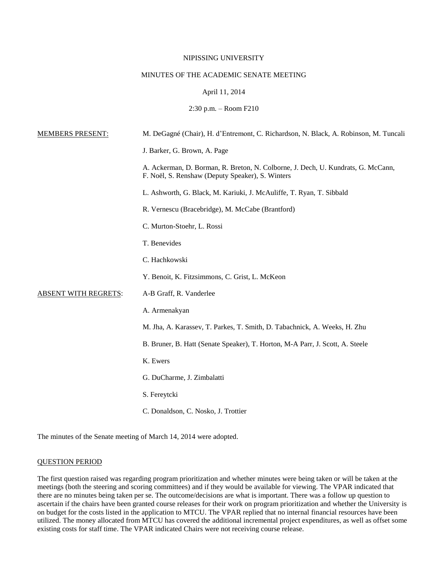### NIPISSING UNIVERSITY

### MINUTES OF THE ACADEMIC SENATE MEETING

## April 11, 2014

# 2:30 p.m. – Room F210

| <b>MEMBERS PRESENT:</b>     | M. DeGagné (Chair), H. d'Entremont, C. Richardson, N. Black, A. Robinson, M. Tuncali                                                 |
|-----------------------------|--------------------------------------------------------------------------------------------------------------------------------------|
|                             | J. Barker, G. Brown, A. Page                                                                                                         |
|                             | A. Ackerman, D. Borman, R. Breton, N. Colborne, J. Dech, U. Kundrats, G. McCann,<br>F. Noël, S. Renshaw (Deputy Speaker), S. Winters |
|                             | L. Ashworth, G. Black, M. Kariuki, J. McAuliffe, T. Ryan, T. Sibbald                                                                 |
|                             | R. Vernescu (Bracebridge), M. McCabe (Brantford)                                                                                     |
|                             | C. Murton-Stoehr, L. Rossi                                                                                                           |
|                             | T. Benevides                                                                                                                         |
|                             | C. Hachkowski                                                                                                                        |
|                             | Y. Benoit, K. Fitzsimmons, C. Grist, L. McKeon                                                                                       |
| <b>ABSENT WITH REGRETS:</b> | A-B Graff, R. Vanderlee                                                                                                              |
|                             | A. Armenakyan                                                                                                                        |
|                             | M. Jha, A. Karassev, T. Parkes, T. Smith, D. Tabachnick, A. Weeks, H. Zhu                                                            |
|                             | B. Bruner, B. Hatt (Senate Speaker), T. Horton, M-A Parr, J. Scott, A. Steele                                                        |
|                             | K. Ewers                                                                                                                             |
|                             | G. DuCharme, J. Zimbalatti                                                                                                           |
|                             | S. Fereytcki                                                                                                                         |
|                             | C. Donaldson, C. Nosko, J. Trottier                                                                                                  |

The minutes of the Senate meeting of March 14, 2014 were adopted.

## QUESTION PERIOD

The first question raised was regarding program prioritization and whether minutes were being taken or will be taken at the meetings (both the steering and scoring committees) and if they would be available for viewing. The VPAR indicated that there are no minutes being taken per se. The outcome/decisions are what is important. There was a follow up question to ascertain if the chairs have been granted course releases for their work on program prioritization and whether the University is on budget for the costs listed in the application to MTCU. The VPAR replied that no internal financial resources have been utilized. The money allocated from MTCU has covered the additional incremental project expenditures, as well as offset some existing costs for staff time. The VPAR indicated Chairs were not receiving course release.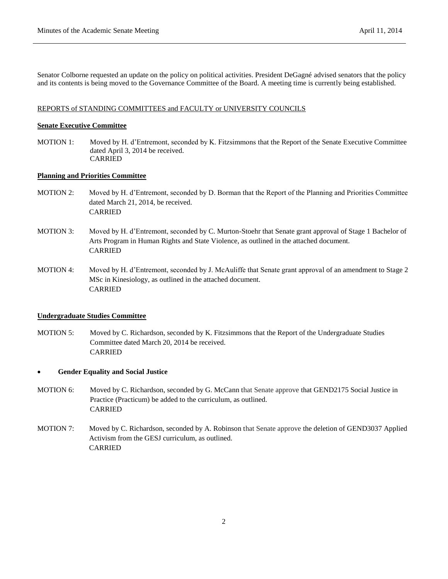Senator Colborne requested an update on the policy on political activities. President DeGagné advised senators that the policy and its contents is being moved to the Governance Committee of the Board. A meeting time is currently being established.

## REPORTS of STANDING COMMITTEES and FACULTY or UNIVERSITY COUNCILS

#### **Senate Executive Committee**

MOTION 1: Moved by H. d'Entremont, seconded by K. Fitzsimmons that the Report of the Senate Executive Committee dated April 3, 2014 be received. CARRIED

### **Planning and Priorities Committee**

- MOTION 2: Moved by H. d'Entremont, seconded by D. Borman that the Report of the Planning and Priorities Committee dated March 21, 2014, be received. CARRIED
- MOTION 3: Moved by H. d'Entremont, seconded by C. Murton-Stoehr that Senate grant approval of Stage 1 Bachelor of Arts Program in Human Rights and State Violence, as outlined in the attached document. CARRIED
- MOTION 4: Moved by H. d'Entremont, seconded by J. McAuliffe that Senate grant approval of an amendment to Stage 2 MSc in Kinesiology, as outlined in the attached document. CARRIED

#### **Undergraduate Studies Committee**

MOTION 5: Moved by C. Richardson, seconded by K. Fitzsimmons that the Report of the Undergraduate Studies Committee dated March 20, 2014 be received. CARRIED

## **Gender Equality and Social Justice**

- MOTION 6: Moved by C. Richardson, seconded by G. McCann that Senate approve that GEND2175 Social Justice in Practice (Practicum) be added to the curriculum, as outlined. CARRIED
- MOTION 7: Moved by C. Richardson, seconded by A. Robinson that Senate approve the deletion of GEND3037 Applied Activism from the GESJ curriculum, as outlined. CARRIED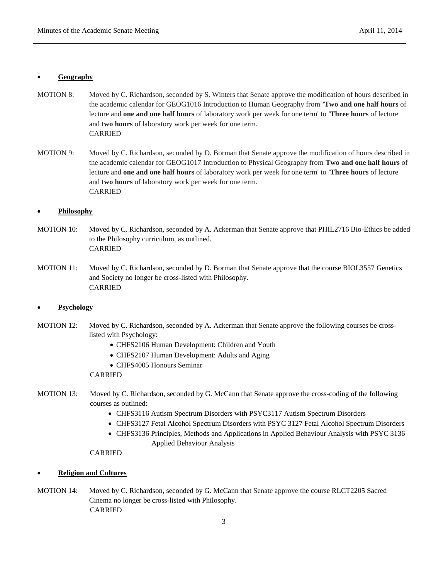### **Geography**

- MOTION 8: Moved by C. Richardson, seconded by S. Winters that Senate approve the modification of hours described in the academic calendar for GEOG1016 Introduction to Human Geography from **'Two and one half hours** of lecture and **one and one half hours** of laboratory work per week for one term' to **'Three hours** of lecture and **two hours** of laboratory work per week for one term. CARRIED
- MOTION 9: Moved by C. Richardson, seconded by D. Borman that Senate approve the modification of hours described in the academic calendar for GEOG1017 Introduction to Physical Geography from **Two and one half hours** of lecture and **one and one half hours** of laboratory work per week for one term' to **'Three hours** of lecture and **two hours** of laboratory work per week for one term. CARRIED

## **Philosophy**

- MOTION 10: Moved by C. Richardson, seconded by A. Ackerman that Senate approve that PHIL2716 Bio-Ethics be added to the Philosophy curriculum, as outlined. CARRIED
- MOTION 11: Moved by C. Richardson, seconded by D. Borman that Senate approve that the course BIOL3557 Genetics and Society no longer be cross-listed with Philosophy. CARRIED

#### **Psychology**

- MOTION 12: Moved by C. Richardson, seconded by A. Ackerman that Senate approve the following courses be crosslisted with Psychology:
	- CHFS2106 Human Development: Children and Youth
	- CHFS2107 Human Development: Adults and Aging
	- CHFS4005 Honours Seminar

# CARRIED

- MOTION 13: Moved by C. Richardson, seconded by G. McCann that Senate approve the cross-coding of the following courses as outlined:
	- CHFS3116 Autism Spectrum Disorders with PSYC3117 Autism Spectrum Disorders
	- CHFS3127 Fetal Alcohol Spectrum Disorders with PSYC 3127 Fetal Alcohol Spectrum Disorders
	- CHFS3136 Principles, Methods and Applications in Applied Behaviour Analysis with PSYC 3136 Applied Behaviour Analysis

# CARRIED

### **Religion and Cultures**

MOTION 14: Moved by C. Richardson, seconded by G. McCann that Senate approve the course RLCT2205 Sacred Cinema no longer be cross-listed with Philosophy. CARRIED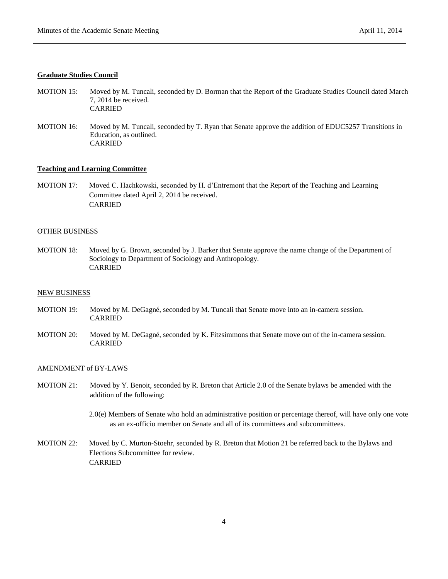#### **Graduate Studies Council**

- MOTION 15: Moved by M. Tuncali, seconded by D. Borman that the Report of the Graduate Studies Council dated March 7, 2014 be received. CARRIED
- MOTION 16: Moved by M. Tuncali, seconded by T. Ryan that Senate approve the addition of EDUC5257 Transitions in Education, as outlined. CARRIED

## **Teaching and Learning Committee**

MOTION 17: Moved C. Hachkowski, seconded by H. d'Entremont that the Report of the Teaching and Learning Committee dated April 2, 2014 be received. CARRIED

#### OTHER BUSINESS

MOTION 18: Moved by G. Brown, seconded by J. Barker that Senate approve the name change of the Department of Sociology to Department of Sociology and Anthropology. CARRIED

#### NEW BUSINESS

- MOTION 19: Moved by M. DeGagné, seconded by M. Tuncali that Senate move into an in-camera session. CARRIED
- MOTION 20: Moved by M. DeGagné, seconded by K. Fitzsimmons that Senate move out of the in-camera session. CARRIED

#### AMENDMENT of BY-LAWS

- MOTION 21: Moved by Y. Benoit, seconded by R. Breton that Article 2.0 of the Senate bylaws be amended with the addition of the following:
	- 2.0(e) Members of Senate who hold an administrative position or percentage thereof, will have only one vote as an ex-officio member on Senate and all of its committees and subcommittees.
- MOTION 22: Moved by C. Murton-Stoehr, seconded by R. Breton that Motion 21 be referred back to the Bylaws and Elections Subcommittee for review. CARRIED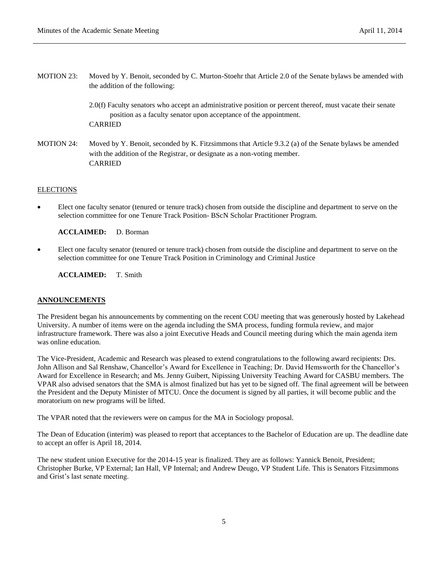- MOTION 23: Moved by Y. Benoit, seconded by C. Murton-Stoehr that Article 2.0 of the Senate bylaws be amended with the addition of the following:
	- 2.0(f) Faculty senators who accept an administrative position or percent thereof, must vacate their senate position as a faculty senator upon acceptance of the appointment. CARRIED
- MOTION 24: Moved by Y. Benoit, seconded by K. Fitzsimmons that Article 9.3.2 (a) of the Senate bylaws be amended with the addition of the Registrar, or designate as a non-voting member. CARRIED

## **ELECTIONS**

 Elect one faculty senator (tenured or tenure track) chosen from outside the discipline and department to serve on the selection committee for one Tenure Track Position- BScN Scholar Practitioner Program.

**ACCLAIMED:** D. Borman

 Elect one faculty senator (tenured or tenure track) chosen from outside the discipline and department to serve on the selection committee for one Tenure Track Position in Criminology and Criminal Justice

**ACCLAIMED:** T. Smith

#### **ANNOUNCEMENTS**

The President began his announcements by commenting on the recent COU meeting that was generously hosted by Lakehead University. A number of items were on the agenda including the SMA process, funding formula review, and major infrastructure framework. There was also a joint Executive Heads and Council meeting during which the main agenda item was online education.

The Vice-President, Academic and Research was pleased to extend congratulations to the following award recipients: Drs. John Allison and Sal Renshaw, Chancellor's Award for Excellence in Teaching; Dr. David Hemsworth for the Chancellor's Award for Excellence in Research; and Ms. Jenny Guibert, Nipissing University Teaching Award for CASBU members. The VPAR also advised senators that the SMA is almost finalized but has yet to be signed off. The final agreement will be between the President and the Deputy Minister of MTCU. Once the document is signed by all parties, it will become public and the moratorium on new programs will be lifted.

The VPAR noted that the reviewers were on campus for the MA in Sociology proposal.

The Dean of Education (interim) was pleased to report that acceptances to the Bachelor of Education are up. The deadline date to accept an offer is April 18, 2014.

The new student union Executive for the 2014-15 year is finalized. They are as follows: Yannick Benoit, President; Christopher Burke, VP External; Ian Hall, VP Internal; and Andrew Deugo, VP Student Life. This is Senators Fitzsimmons and Grist's last senate meeting.